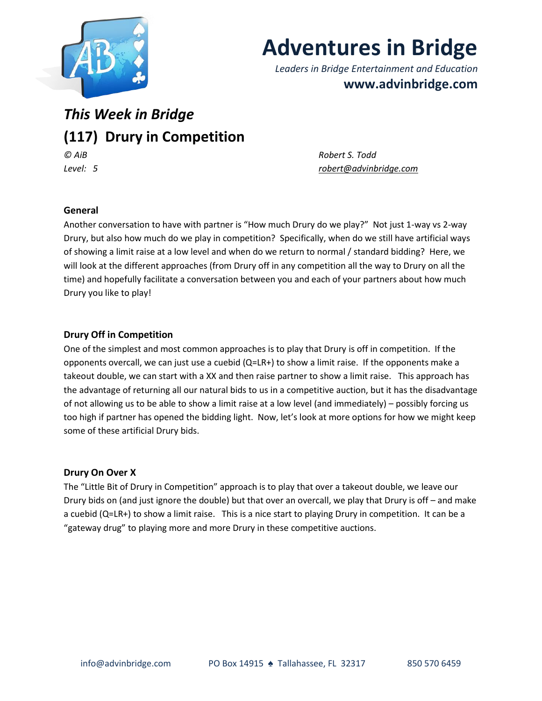

# **Adventures in Bridge**

*Leaders in Bridge Entertainment and Education* **www.advinbridge.com**

# *This Week in Bridge* **(117) Drury in Competition**  *© AiB Robert S. Todd*

*Level: 5 [robert@advinbridge.com](mailto:robert@advinbridge.com)*

#### **General**

Another conversation to have with partner is "How much Drury do we play?" Not just 1-way vs 2-way Drury, but also how much do we play in competition? Specifically, when do we still have artificial ways of showing a limit raise at a low level and when do we return to normal / standard bidding? Here, we will look at the different approaches (from Drury off in any competition all the way to Drury on all the time) and hopefully facilitate a conversation between you and each of your partners about how much Drury you like to play!

## **Drury Off in Competition**

One of the simplest and most common approaches is to play that Drury is off in competition. If the opponents overcall, we can just use a cuebid (Q=LR+) to show a limit raise. If the opponents make a takeout double, we can start with a XX and then raise partner to show a limit raise. This approach has the advantage of returning all our natural bids to us in a competitive auction, but it has the disadvantage of not allowing us to be able to show a limit raise at a low level (and immediately) – possibly forcing us too high if partner has opened the bidding light. Now, let's look at more options for how we might keep some of these artificial Drury bids.

#### **Drury On Over X**

The "Little Bit of Drury in Competition" approach is to play that over a takeout double, we leave our Drury bids on (and just ignore the double) but that over an overcall, we play that Drury is off – and make a cuebid (Q=LR+) to show a limit raise. This is a nice start to playing Drury in competition. It can be a "gateway drug" to playing more and more Drury in these competitive auctions.